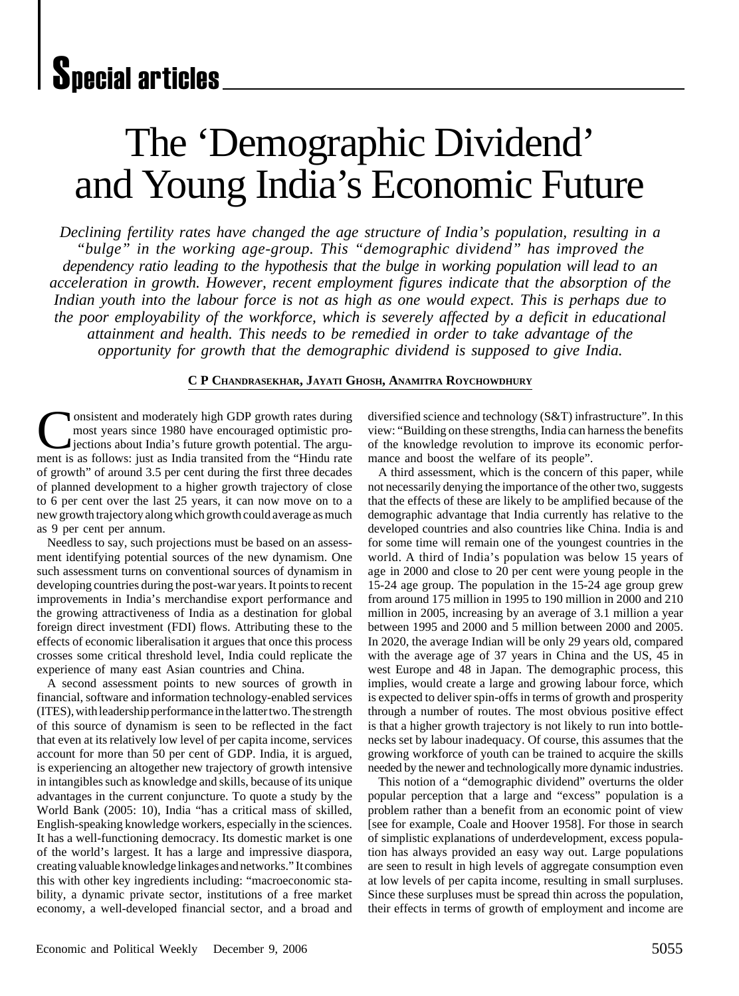# The 'Demographic Dividend' and Young India's Economic Future

*Declining fertility rates have changed the age structure of India's population, resulting in a "bulge" in the working age-group. This "demographic dividend" has improved the dependency ratio leading to the hypothesis that the bulge in working population will lead to an acceleration in growth. However, recent employment figures indicate that the absorption of the Indian youth into the labour force is not as high as one would expect. This is perhaps due to the poor employability of the workforce, which is severely affected by a deficit in educational attainment and health. This needs to be remedied in order to take advantage of the opportunity for growth that the demographic dividend is supposed to give India.*

#### **C P CHANDRASEKHAR, JAYATI GHOSH, ANAMITRA ROYCHOWDHURY**

onsistent and moderately high GDP growth rates during most years since 1980 have encouraged optimistic proiections about India's future growth potential. The argument is as follows: just as India transited from the "Hindu rate of growth" of around 3.5 per cent during the first three decades of planned development to a higher growth trajectory of close to 6 per cent over the last 25 years, it can now move on to a new growth trajectory along which growth could average as much as 9 per cent per annum.

Needless to say, such projections must be based on an assessment identifying potential sources of the new dynamism. One such assessment turns on conventional sources of dynamism in developing countries during the post-war years. It points to recent improvements in India's merchandise export performance and the growing attractiveness of India as a destination for global foreign direct investment (FDI) flows. Attributing these to the effects of economic liberalisation it argues that once this process crosses some critical threshold level, India could replicate the experience of many east Asian countries and China.

A second assessment points to new sources of growth in financial, software and information technology-enabled services (ITES), with leadership performance in the latter two. The strength of this source of dynamism is seen to be reflected in the fact that even at its relatively low level of per capita income, services account for more than 50 per cent of GDP. India, it is argued, is experiencing an altogether new trajectory of growth intensive in intangibles such as knowledge and skills, because of its unique advantages in the current conjuncture. To quote a study by the World Bank (2005: 10), India "has a critical mass of skilled, English-speaking knowledge workers, especially in the sciences. It has a well-functioning democracy. Its domestic market is one of the world's largest. It has a large and impressive diaspora, creating valuable knowledge linkages and networks." It combines this with other key ingredients including: "macroeconomic stability, a dynamic private sector, institutions of a free market economy, a well-developed financial sector, and a broad and

diversified science and technology (S&T) infrastructure". In this view: "Building on these strengths, India can harness the benefits of the knowledge revolution to improve its economic performance and boost the welfare of its people".

A third assessment, which is the concern of this paper, while not necessarily denying the importance of the other two, suggests that the effects of these are likely to be amplified because of the demographic advantage that India currently has relative to the developed countries and also countries like China. India is and for some time will remain one of the youngest countries in the world. A third of India's population was below 15 years of age in 2000 and close to 20 per cent were young people in the 15-24 age group. The population in the 15-24 age group grew from around 175 million in 1995 to 190 million in 2000 and 210 million in 2005, increasing by an average of 3.1 million a year between 1995 and 2000 and 5 million between 2000 and 2005. In 2020, the average Indian will be only 29 years old, compared with the average age of 37 years in China and the US, 45 in west Europe and 48 in Japan. The demographic process, this implies, would create a large and growing labour force, which is expected to deliver spin-offs in terms of growth and prosperity through a number of routes. The most obvious positive effect is that a higher growth trajectory is not likely to run into bottlenecks set by labour inadequacy. Of course, this assumes that the growing workforce of youth can be trained to acquire the skills needed by the newer and technologically more dynamic industries.

This notion of a "demographic dividend" overturns the older popular perception that a large and "excess" population is a problem rather than a benefit from an economic point of view [see for example, Coale and Hoover 1958]. For those in search of simplistic explanations of underdevelopment, excess population has always provided an easy way out. Large populations are seen to result in high levels of aggregate consumption even at low levels of per capita income, resulting in small surpluses. Since these surpluses must be spread thin across the population, their effects in terms of growth of employment and income are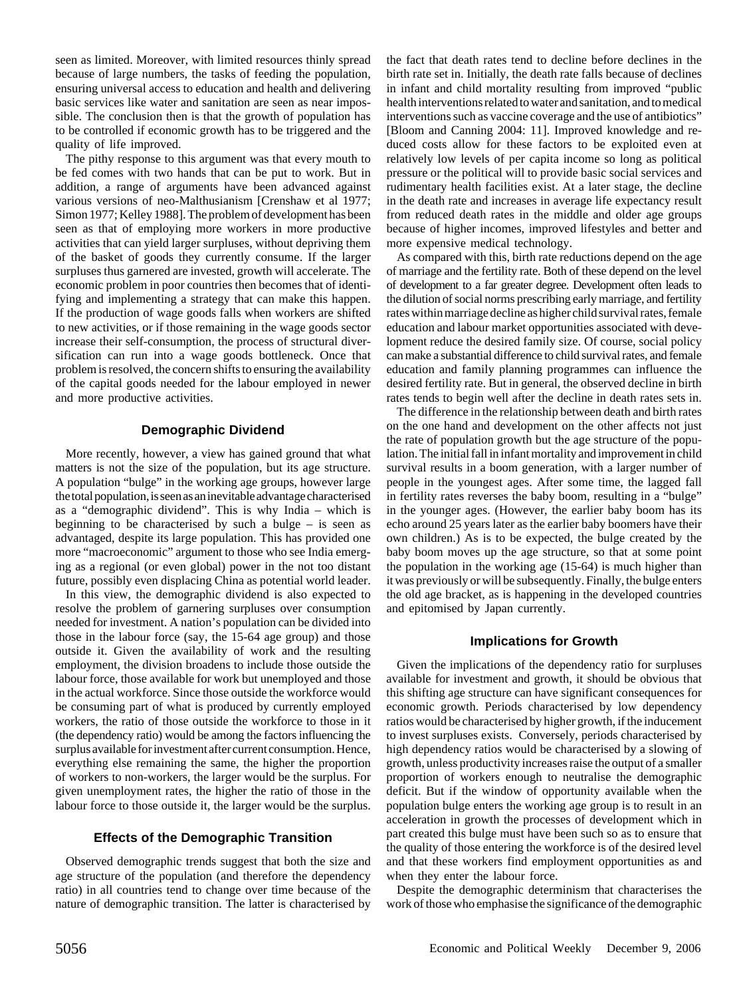seen as limited. Moreover, with limited resources thinly spread because of large numbers, the tasks of feeding the population, ensuring universal access to education and health and delivering basic services like water and sanitation are seen as near impossible. The conclusion then is that the growth of population has to be controlled if economic growth has to be triggered and the quality of life improved.

The pithy response to this argument was that every mouth to be fed comes with two hands that can be put to work. But in addition, a range of arguments have been advanced against various versions of neo-Malthusianism [Crenshaw et al 1977; Simon 1977; Kelley 1988]. The problem of development has been seen as that of employing more workers in more productive activities that can yield larger surpluses, without depriving them of the basket of goods they currently consume. If the larger surpluses thus garnered are invested, growth will accelerate. The economic problem in poor countries then becomes that of identifying and implementing a strategy that can make this happen. If the production of wage goods falls when workers are shifted to new activities, or if those remaining in the wage goods sector increase their self-consumption, the process of structural diversification can run into a wage goods bottleneck. Once that problem is resolved, the concern shifts to ensuring the availability of the capital goods needed for the labour employed in newer and more productive activities.

## **Demographic Dividend**

More recently, however, a view has gained ground that what matters is not the size of the population, but its age structure. A population "bulge" in the working age groups, however large the total population, is seen as an inevitable advantage characterised as a "demographic dividend". This is why India – which is beginning to be characterised by such a bulge  $-$  is seen as advantaged, despite its large population. This has provided one more "macroeconomic" argument to those who see India emerging as a regional (or even global) power in the not too distant future, possibly even displacing China as potential world leader.

In this view, the demographic dividend is also expected to resolve the problem of garnering surpluses over consumption needed for investment. A nation's population can be divided into those in the labour force (say, the 15-64 age group) and those outside it. Given the availability of work and the resulting employment, the division broadens to include those outside the labour force, those available for work but unemployed and those in the actual workforce. Since those outside the workforce would be consuming part of what is produced by currently employed workers, the ratio of those outside the workforce to those in it (the dependency ratio) would be among the factors influencing the surplus available for investment after current consumption. Hence, everything else remaining the same, the higher the proportion of workers to non-workers, the larger would be the surplus. For given unemployment rates, the higher the ratio of those in the labour force to those outside it, the larger would be the surplus.

# **Effects of the Demographic Transition**

Observed demographic trends suggest that both the size and age structure of the population (and therefore the dependency ratio) in all countries tend to change over time because of the nature of demographic transition. The latter is characterised by

the fact that death rates tend to decline before declines in the birth rate set in. Initially, the death rate falls because of declines in infant and child mortality resulting from improved "public health interventions related to water and sanitation, and to medical interventions such as vaccine coverage and the use of antibiotics" [Bloom and Canning 2004: 11]. Improved knowledge and reduced costs allow for these factors to be exploited even at relatively low levels of per capita income so long as political pressure or the political will to provide basic social services and rudimentary health facilities exist. At a later stage, the decline in the death rate and increases in average life expectancy result from reduced death rates in the middle and older age groups because of higher incomes, improved lifestyles and better and more expensive medical technology.

As compared with this, birth rate reductions depend on the age of marriage and the fertility rate. Both of these depend on the level of development to a far greater degree. Development often leads to the dilution of social norms prescribing early marriage, and fertility rates within marriage decline as higher child survival rates, female education and labour market opportunities associated with development reduce the desired family size. Of course, social policy can make a substantial difference to child survival rates, and female education and family planning programmes can influence the desired fertility rate. But in general, the observed decline in birth rates tends to begin well after the decline in death rates sets in.

The difference in the relationship between death and birth rates on the one hand and development on the other affects not just the rate of population growth but the age structure of the population. The initial fall in infant mortality and improvement in child survival results in a boom generation, with a larger number of people in the youngest ages. After some time, the lagged fall in fertility rates reverses the baby boom, resulting in a "bulge" in the younger ages. (However, the earlier baby boom has its echo around 25 years later as the earlier baby boomers have their own children.) As is to be expected, the bulge created by the baby boom moves up the age structure, so that at some point the population in the working age (15-64) is much higher than it was previously or will be subsequently. Finally, the bulge enters the old age bracket, as is happening in the developed countries and epitomised by Japan currently.

#### **Implications for Growth**

Given the implications of the dependency ratio for surpluses available for investment and growth, it should be obvious that this shifting age structure can have significant consequences for economic growth. Periods characterised by low dependency ratios would be characterised by higher growth, if the inducement to invest surpluses exists. Conversely, periods characterised by high dependency ratios would be characterised by a slowing of growth, unless productivity increases raise the output of a smaller proportion of workers enough to neutralise the demographic deficit. But if the window of opportunity available when the population bulge enters the working age group is to result in an acceleration in growth the processes of development which in part created this bulge must have been such so as to ensure that the quality of those entering the workforce is of the desired level and that these workers find employment opportunities as and when they enter the labour force.

Despite the demographic determinism that characterises the work of those who emphasise the significance of the demographic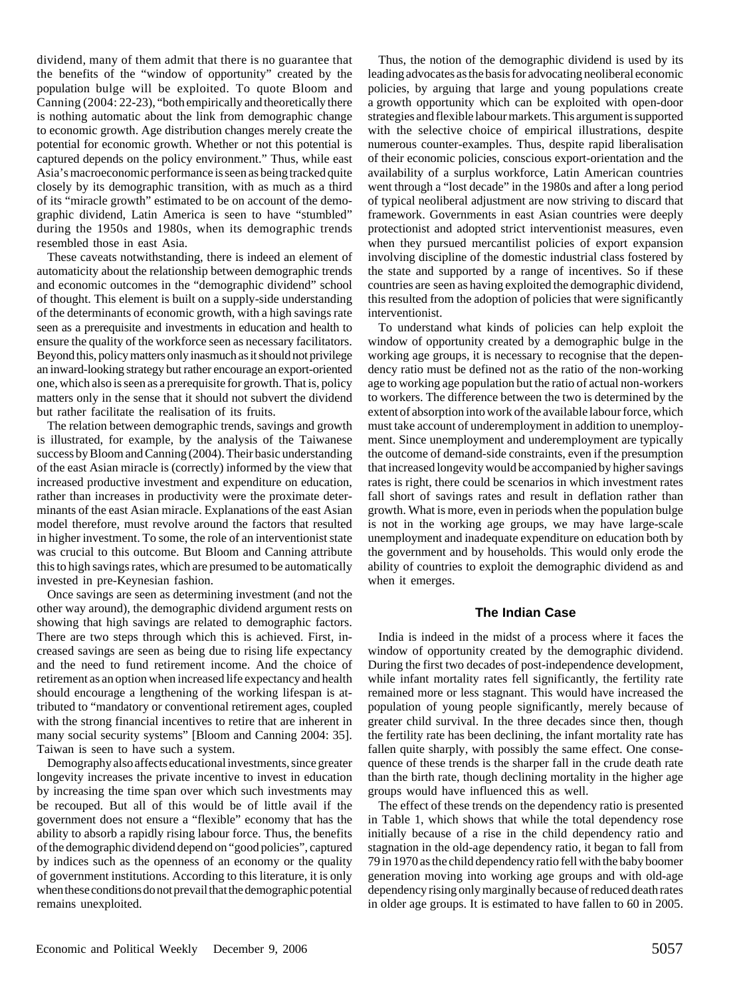dividend, many of them admit that there is no guarantee that the benefits of the "window of opportunity" created by the population bulge will be exploited. To quote Bloom and Canning (2004: 22-23), "both empirically and theoretically there is nothing automatic about the link from demographic change to economic growth. Age distribution changes merely create the potential for economic growth. Whether or not this potential is captured depends on the policy environment." Thus, while east Asia's macroeconomic performance is seen as being tracked quite closely by its demographic transition, with as much as a third of its "miracle growth" estimated to be on account of the demographic dividend, Latin America is seen to have "stumbled" during the 1950s and 1980s, when its demographic trends resembled those in east Asia.

These caveats notwithstanding, there is indeed an element of automaticity about the relationship between demographic trends and economic outcomes in the "demographic dividend" school of thought. This element is built on a supply-side understanding of the determinants of economic growth, with a high savings rate seen as a prerequisite and investments in education and health to ensure the quality of the workforce seen as necessary facilitators. Beyond this, policy matters only inasmuch as it should not privilege an inward-looking strategy but rather encourage an export-oriented one, which also is seen as a prerequisite for growth. That is, policy matters only in the sense that it should not subvert the dividend but rather facilitate the realisation of its fruits.

The relation between demographic trends, savings and growth is illustrated, for example, by the analysis of the Taiwanese success by Bloom and Canning (2004). Their basic understanding of the east Asian miracle is (correctly) informed by the view that increased productive investment and expenditure on education, rather than increases in productivity were the proximate determinants of the east Asian miracle. Explanations of the east Asian model therefore, must revolve around the factors that resulted in higher investment. To some, the role of an interventionist state was crucial to this outcome. But Bloom and Canning attribute this to high savings rates, which are presumed to be automatically invested in pre-Keynesian fashion.

Once savings are seen as determining investment (and not the other way around), the demographic dividend argument rests on showing that high savings are related to demographic factors. There are two steps through which this is achieved. First, increased savings are seen as being due to rising life expectancy and the need to fund retirement income. And the choice of retirement as an option when increased life expectancy and health should encourage a lengthening of the working lifespan is attributed to "mandatory or conventional retirement ages, coupled with the strong financial incentives to retire that are inherent in many social security systems" [Bloom and Canning 2004: 35]. Taiwan is seen to have such a system.

Demography also affects educational investments, since greater longevity increases the private incentive to invest in education by increasing the time span over which such investments may be recouped. But all of this would be of little avail if the government does not ensure a "flexible" economy that has the ability to absorb a rapidly rising labour force. Thus, the benefits of the demographic dividend depend on "good policies", captured by indices such as the openness of an economy or the quality of government institutions. According to this literature, it is only when these conditions do not prevail that the demographic potential remains unexploited.

Thus, the notion of the demographic dividend is used by its leading advocates as the basis for advocating neoliberal economic policies, by arguing that large and young populations create a growth opportunity which can be exploited with open-door strategies and flexible labour markets. This argument is supported with the selective choice of empirical illustrations, despite numerous counter-examples. Thus, despite rapid liberalisation of their economic policies, conscious export-orientation and the availability of a surplus workforce, Latin American countries went through a "lost decade" in the 1980s and after a long period of typical neoliberal adjustment are now striving to discard that framework. Governments in east Asian countries were deeply protectionist and adopted strict interventionist measures, even when they pursued mercantilist policies of export expansion involving discipline of the domestic industrial class fostered by the state and supported by a range of incentives. So if these countries are seen as having exploited the demographic dividend, this resulted from the adoption of policies that were significantly interventionist.

To understand what kinds of policies can help exploit the window of opportunity created by a demographic bulge in the working age groups, it is necessary to recognise that the dependency ratio must be defined not as the ratio of the non-working age to working age population but the ratio of actual non-workers to workers. The difference between the two is determined by the extent of absorption into work of the available labour force, which must take account of underemployment in addition to unemployment. Since unemployment and underemployment are typically the outcome of demand-side constraints, even if the presumption that increased longevity would be accompanied by higher savings rates is right, there could be scenarios in which investment rates fall short of savings rates and result in deflation rather than growth. What is more, even in periods when the population bulge is not in the working age groups, we may have large-scale unemployment and inadequate expenditure on education both by the government and by households. This would only erode the ability of countries to exploit the demographic dividend as and when it emerges.

#### **The Indian Case**

India is indeed in the midst of a process where it faces the window of opportunity created by the demographic dividend. During the first two decades of post-independence development, while infant mortality rates fell significantly, the fertility rate remained more or less stagnant. This would have increased the population of young people significantly, merely because of greater child survival. In the three decades since then, though the fertility rate has been declining, the infant mortality rate has fallen quite sharply, with possibly the same effect. One consequence of these trends is the sharper fall in the crude death rate than the birth rate, though declining mortality in the higher age groups would have influenced this as well.

The effect of these trends on the dependency ratio is presented in Table 1, which shows that while the total dependency rose initially because of a rise in the child dependency ratio and stagnation in the old-age dependency ratio, it began to fall from 79 in 1970 as the child dependency ratio fell with the baby boomer generation moving into working age groups and with old-age dependency rising only marginally because of reduced death rates in older age groups. It is estimated to have fallen to 60 in 2005.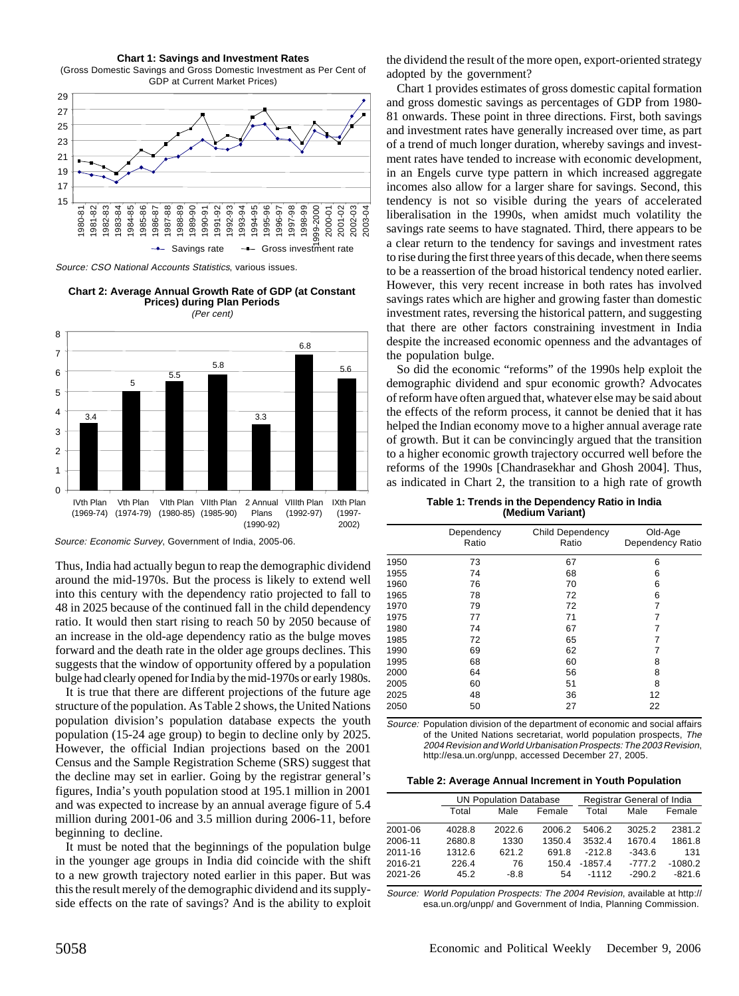#### **Chart 1: Savings and Investment Rates**

(Gross Domestic Savings and Gross Domestic Investment as Per Cent of GDP at Current Market Prices)



Source: CSO National Accounts Statistics, various issues.

**Chart 2: Average Annual Growth Rate of GDP (at Constant Prices) during Plan Periods** (Per cent)



Source: Economic Survey, Government of India, 2005-06.

Thus, India had actually begun to reap the demographic dividend around the mid-1970s. But the process is likely to extend well into this century with the dependency ratio projected to fall to 48 in 2025 because of the continued fall in the child dependency ratio. It would then start rising to reach 50 by 2050 because of an increase in the old-age dependency ratio as the bulge moves forward and the death rate in the older age groups declines. This suggests that the window of opportunity offered by a population bulge had clearly opened for India by the mid-1970s or early 1980s.

It is true that there are different projections of the future age structure of the population. As Table 2 shows, the United Nations population division's population database expects the youth population (15-24 age group) to begin to decline only by 2025. However, the official Indian projections based on the 2001 Census and the Sample Registration Scheme (SRS) suggest that the decline may set in earlier. Going by the registrar general's figures, India's youth population stood at 195.1 million in 2001 and was expected to increase by an annual average figure of 5.4 million during 2001-06 and 3.5 million during 2006-11, before beginning to decline.

It must be noted that the beginnings of the population bulge in the younger age groups in India did coincide with the shift to a new growth trajectory noted earlier in this paper. But was this the result merely of the demographic dividend and its supplyside effects on the rate of savings? And is the ability to exploit the dividend the result of the more open, export-oriented strategy adopted by the government?

Chart 1 provides estimates of gross domestic capital formation and gross domestic savings as percentages of GDP from 1980- 81 onwards. These point in three directions. First, both savings and investment rates have generally increased over time, as part of a trend of much longer duration, whereby savings and investment rates have tended to increase with economic development, in an Engels curve type pattern in which increased aggregate incomes also allow for a larger share for savings. Second, this tendency is not so visible during the years of accelerated liberalisation in the 1990s, when amidst much volatility the savings rate seems to have stagnated. Third, there appears to be a clear return to the tendency for savings and investment rates to rise during the first three years of this decade, when there seems to be a reassertion of the broad historical tendency noted earlier. However, this very recent increase in both rates has involved savings rates which are higher and growing faster than domestic investment rates, reversing the historical pattern, and suggesting that there are other factors constraining investment in India despite the increased economic openness and the advantages of the population bulge.

So did the economic "reforms" of the 1990s help exploit the demographic dividend and spur economic growth? Advocates of reform have often argued that, whatever else may be said about the effects of the reform process, it cannot be denied that it has helped the Indian economy move to a higher annual average rate of growth. But it can be convincingly argued that the transition to a higher economic growth trajectory occurred well before the reforms of the 1990s [Chandrasekhar and Ghosh 2004]. Thus, as indicated in Chart 2, the transition to a high rate of growth

**Table 1: Trends in the Dependency Ratio in India (Medium Variant)**

|      | Dependency<br>Ratio | Child Dependency<br>Ratio | Old-Age<br>Dependency Ratio |
|------|---------------------|---------------------------|-----------------------------|
| 1950 | 73                  | 67                        | 6                           |
| 1955 | 74                  | 68                        | 6                           |
| 1960 | 76                  | 70                        | 6                           |
| 1965 | 78                  | 72                        | 6                           |
| 1970 | 79                  | 72                        | 7                           |
| 1975 | 77                  | 71                        | 7                           |
| 1980 | 74                  | 67                        | 7                           |
| 1985 | 72                  | 65                        | 7                           |
| 1990 | 69                  | 62                        |                             |
| 1995 | 68                  | 60                        | 8                           |
| 2000 | 64                  | 56                        | 8                           |
| 2005 | 60                  | 51                        | 8                           |
| 2025 | 48                  | 36                        | 12                          |
| 2050 | 50                  | 27                        | 22                          |
|      |                     |                           |                             |

Source: Population division of the department of economic and social affairs of the United Nations secretariat, world population prospects, The 2004 Revision and World Urbanisation Prospects: The 2003 Revision, http://esa.un.org/unpp, accessed December 27, 2005.

|         |        | <b>UN Population Database</b> |        |           | Registrar General of India |           |
|---------|--------|-------------------------------|--------|-----------|----------------------------|-----------|
|         | Total  | Male                          | Female | Total     | Male                       | Female    |
| 2001-06 | 4028.8 | 2022.6                        | 2006.2 | 5406.2    | 3025.2                     | 2381.2    |
| 2006-11 | 2680.8 | 1330                          | 1350.4 | 3532.4    | 1670.4                     | 1861.8    |
| 2011-16 | 1312.6 | 621.2                         | 691.8  | $-2128$   | $-343.6$                   | 131       |
| 2016-21 | 226.4  | 76                            | 150.4  | $-1857.4$ | $-777.2$                   | $-1080.2$ |
| 2021-26 | 45.2   | $-8.8$                        | 54     | $-1112$   | $-290.2$                   | $-8216$   |

Source: World Population Prospects: The 2004 Revision, available at http:// esa.un.org/unpp/ and Government of India, Planning Commission.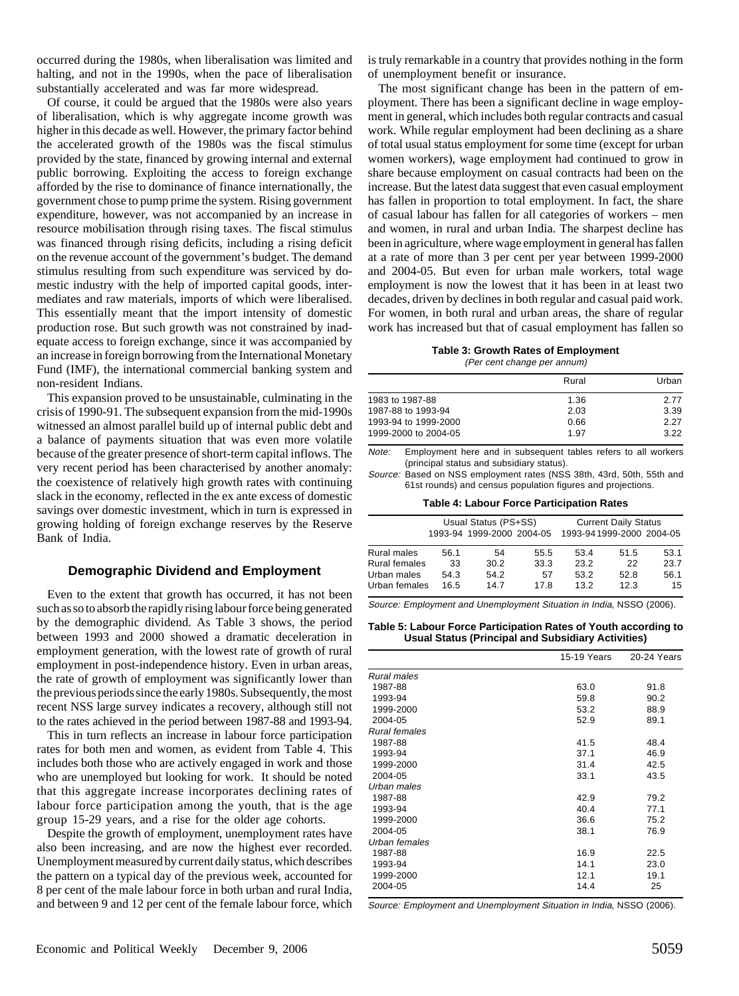occurred during the 1980s, when liberalisation was limited and halting, and not in the 1990s, when the pace of liberalisation substantially accelerated and was far more widespread.

Of course, it could be argued that the 1980s were also years of liberalisation, which is why aggregate income growth was higher in this decade as well. However, the primary factor behind the accelerated growth of the 1980s was the fiscal stimulus provided by the state, financed by growing internal and external public borrowing. Exploiting the access to foreign exchange afforded by the rise to dominance of finance internationally, the government chose to pump prime the system. Rising government expenditure, however, was not accompanied by an increase in resource mobilisation through rising taxes. The fiscal stimulus was financed through rising deficits, including a rising deficit on the revenue account of the government's budget. The demand stimulus resulting from such expenditure was serviced by domestic industry with the help of imported capital goods, intermediates and raw materials, imports of which were liberalised. This essentially meant that the import intensity of domestic production rose. But such growth was not constrained by inadequate access to foreign exchange, since it was accompanied by an increase in foreign borrowing from the International Monetary Fund (IMF), the international commercial banking system and non-resident Indians.

This expansion proved to be unsustainable, culminating in the crisis of 1990-91. The subsequent expansion from the mid-1990s witnessed an almost parallel build up of internal public debt and a balance of payments situation that was even more volatile because of the greater presence of short-term capital inflows. The very recent period has been characterised by another anomaly: the coexistence of relatively high growth rates with continuing slack in the economy, reflected in the ex ante excess of domestic savings over domestic investment, which in turn is expressed in growing holding of foreign exchange reserves by the Reserve Bank of India.

#### **Demographic Dividend and Employment**

Even to the extent that growth has occurred, it has not been such as so to absorb the rapidly rising labour force being generated by the demographic dividend. As Table 3 shows, the period between 1993 and 2000 showed a dramatic deceleration in employment generation, with the lowest rate of growth of rural employment in post-independence history. Even in urban areas, the rate of growth of employment was significantly lower than the previous periods since the early 1980s. Subsequently, the most recent NSS large survey indicates a recovery, although still not to the rates achieved in the period between 1987-88 and 1993-94.

This in turn reflects an increase in labour force participation rates for both men and women, as evident from Table 4. This includes both those who are actively engaged in work and those who are unemployed but looking for work. It should be noted that this aggregate increase incorporates declining rates of labour force participation among the youth, that is the age group 15-29 years, and a rise for the older age cohorts.

Despite the growth of employment, unemployment rates have also been increasing, and are now the highest ever recorded. Unemployment measured by current daily status, which describes the pattern on a typical day of the previous week, accounted for 8 per cent of the male labour force in both urban and rural India, and between 9 and 12 per cent of the female labour force, which is truly remarkable in a country that provides nothing in the form of unemployment benefit or insurance.

The most significant change has been in the pattern of employment. There has been a significant decline in wage employment in general, which includes both regular contracts and casual work. While regular employment had been declining as a share of total usual status employment for some time (except for urban women workers), wage employment had continued to grow in share because employment on casual contracts had been on the increase. But the latest data suggest that even casual employment has fallen in proportion to total employment. In fact, the share of casual labour has fallen for all categories of workers – men and women, in rural and urban India. The sharpest decline has been in agriculture, where wage employment in general has fallen at a rate of more than 3 per cent per year between 1999-2000 and 2004-05. But even for urban male workers, total wage employment is now the lowest that it has been in at least two decades, driven by declines in both regular and casual paid work. For women, in both rural and urban areas, the share of regular work has increased but that of casual employment has fallen so

# **Table 3: Growth Rates of Employment**

(Per cent change per annum)

|                      | Rural | Urban |
|----------------------|-------|-------|
| 1983 to 1987-88      | 1.36  | 2.77  |
| 1987-88 to 1993-94   | 2.03  | 3.39  |
| 1993-94 to 1999-2000 | 0.66  | 2.27  |
| 1999-2000 to 2004-05 | 1.97  | 3.22  |

Note: Employment here and in subsequent tables refers to all workers (principal status and subsidiary status).

Source: Based on NSS employment rates (NSS 38th, 43rd, 50th, 55th and 61st rounds) and census population figures and projections.

| Table 4: Labour Force Participation Rates |  |  |  |  |  |
|-------------------------------------------|--|--|--|--|--|
|-------------------------------------------|--|--|--|--|--|

|               | Usual Status (PS+SS) |                           |      | <b>Current Daily Status</b> |                          |      |
|---------------|----------------------|---------------------------|------|-----------------------------|--------------------------|------|
|               |                      | 1993-94 1999-2000 2004-05 |      |                             | 1993-941999-2000 2004-05 |      |
| Rural males   | 56.1                 | 54                        | 55.5 | 53.4                        | 51.5                     | 53.1 |
| Rural females | 33                   | 30.2                      | 33.3 | 23.2                        | 22                       | 23.7 |
| Urban males   | 54.3                 | 54.2                      | 57   | 53.2                        | 52.8                     | 56.1 |
| Urban females | 16.5                 | 147                       | 178  | 13.2                        | 12.3                     | 15   |

Source: Employment and Unemployment Situation in India, NSSO (2006).

#### **Table 5: Labour Force Participation Rates of Youth according to Usual Status (Principal and Subsidiary Activities)**

|                      | 15-19 Years | 20-24 Years |
|----------------------|-------------|-------------|
| Rural males          |             |             |
| 1987-88              | 63.0        | 91.8        |
| 1993-94              | 59.8        | 90.2        |
| 1999-2000            | 53.2        | 88.9        |
| 2004-05              | 52.9        | 89.1        |
| <b>Rural females</b> |             |             |
| 1987-88              | 41.5        | 48.4        |
| 1993-94              | 37.1        | 46.9        |
| 1999-2000            | 31.4        | 42.5        |
| 2004-05              | 33.1        | 43.5        |
| Urban males          |             |             |
| 1987-88              | 42.9        | 79.2        |
| 1993-94              | 40.4        | 77.1        |
| 1999-2000            | 36.6        | 75.2        |
| 2004-05              | 38.1        | 76.9        |
| Urban females        |             |             |
| 1987-88              | 16.9        | 22.5        |
| 1993-94              | 14.1        | 23.0        |
| 1999-2000            | 12.1        | 19.1        |
| 2004-05              | 14.4        | 25          |

Source: Employment and Unemployment Situation in India, NSSO (2006).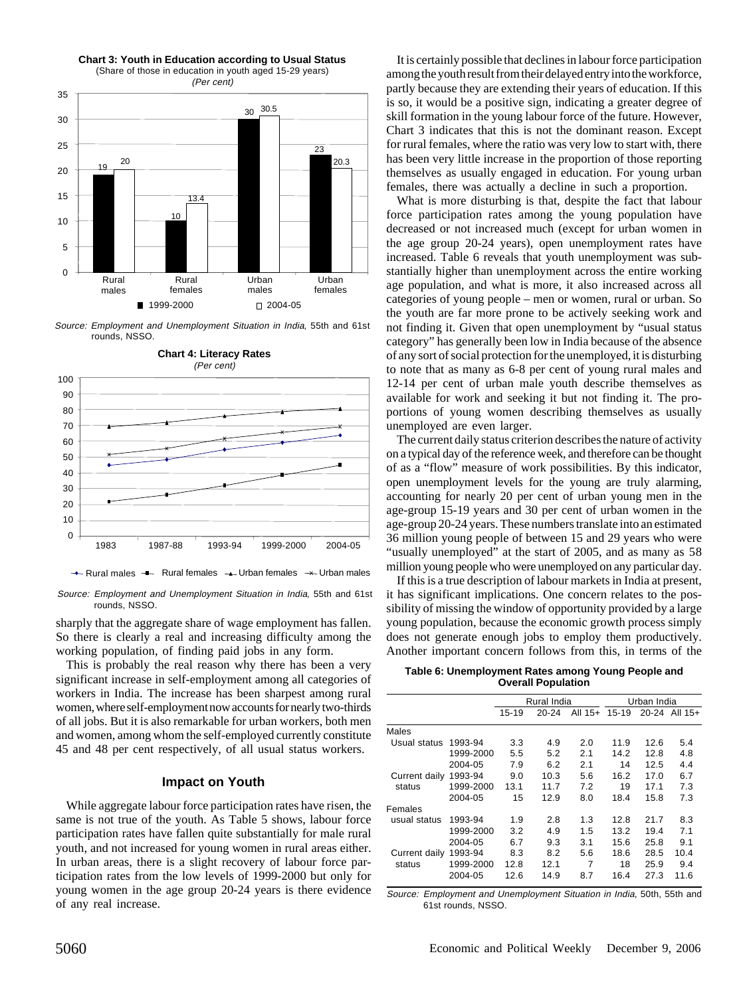

(Share of those in education in youth aged 15-29 years)



Source: Employment and Unemployment Situation in India, 55th and 61st rounds, NSSO.



Source: Employment and Unemployment Situation in India, 55th and 61st rounds, NSSO.

sharply that the aggregate share of wage employment has fallen. So there is clearly a real and increasing difficulty among the working population, of finding paid jobs in any form.

This is probably the real reason why there has been a very significant increase in self-employment among all categories of workers in India. The increase has been sharpest among rural women, where self-employment now accounts for nearly two-thirds of all jobs. But it is also remarkable for urban workers, both men and women, among whom the self-employed currently constitute 45 and 48 per cent respectively, of all usual status workers.

## **Impact on Youth**

While aggregate labour force participation rates have risen, the same is not true of the youth. As Table 5 shows, labour force participation rates have fallen quite substantially for male rural youth, and not increased for young women in rural areas either. In urban areas, there is a slight recovery of labour force participation rates from the low levels of 1999-2000 but only for young women in the age group 20-24 years is there evidence of any real increase.

It is certainly possible that declines in labour force participation among the youth result from their delayed entry into the workforce, partly because they are extending their years of education. If this is so, it would be a positive sign, indicating a greater degree of skill formation in the young labour force of the future. However, Chart 3 indicates that this is not the dominant reason. Except for rural females, where the ratio was very low to start with, there has been very little increase in the proportion of those reporting themselves as usually engaged in education. For young urban females, there was actually a decline in such a proportion.

What is more disturbing is that, despite the fact that labour force participation rates among the young population have decreased or not increased much (except for urban women in the age group 20-24 years), open unemployment rates have increased. Table 6 reveals that youth unemployment was substantially higher than unemployment across the entire working age population, and what is more, it also increased across all categories of young people – men or women, rural or urban. So the youth are far more prone to be actively seeking work and not finding it. Given that open unemployment by "usual status category" has generally been low in India because of the absence of any sort of social protection for the unemployed, it is disturbing to note that as many as 6-8 per cent of young rural males and 12-14 per cent of urban male youth describe themselves as available for work and seeking it but not finding it. The proportions of young women describing themselves as usually unemployed are even larger.

The current daily status criterion describes the nature of activity on a typical day of the reference week, and therefore can be thought of as a "flow" measure of work possibilities. By this indicator, open unemployment levels for the young are truly alarming, accounting for nearly 20 per cent of urban young men in the age-group 15-19 years and 30 per cent of urban women in the age-group 20-24 years. These numbers translate into an estimated 36 million young people of between 15 and 29 years who were "usually unemployed" at the start of 2005, and as many as 58 million young people who were unemployed on any particular day.

If this is a true description of labour markets in India at present, it has significant implications. One concern relates to the possibility of missing the window of opportunity provided by a large young population, because the economic growth process simply does not generate enough jobs to employ them productively. Another important concern follows from this, in terms of the

| Table 6: Unemployment Rates among Young People and |  |
|----------------------------------------------------|--|
| <b>Overall Population</b>                          |  |

|               |           |         | Rural India |           |       | Urban India |                   |
|---------------|-----------|---------|-------------|-----------|-------|-------------|-------------------|
|               |           | $15-19$ | $20 - 24$   | All $15+$ | 15-19 |             | $20-24$ All $15+$ |
| Males         |           |         |             |           |       |             |                   |
| Usual status  | 1993-94   | 3.3     | 4.9         | 2.0       | 11.9  | 12.6        | 5.4               |
|               | 1999-2000 | 5.5     | 5.2         | 2.1       | 14.2  | 12.8        | 4.8               |
|               | 2004-05   | 7.9     | 6.2         | 2.1       | 14    | 12.5        | 4.4               |
| Current daily | 1993-94   | 9.0     | 10.3        | 5.6       | 16.2  | 17.0        | 6.7               |
| status        | 1999-2000 | 13.1    | 11.7        | 7.2       | 19    | 17.1        | 7.3               |
|               | 2004-05   | 15      | 12.9        | 8.0       | 18.4  | 15.8        | 7.3               |
| Females       |           |         |             |           |       |             |                   |
| usual status  | 1993-94   | 1.9     | 2.8         | 1.3       | 12.8  | 21.7        | 8.3               |
|               | 1999-2000 | 3.2     | 4.9         | 1.5       | 13.2  | 19.4        | 7.1               |
|               | 2004-05   | 6.7     | 9.3         | 3.1       | 15.6  | 25.8        | 9.1               |
| Current daily | 1993-94   | 8.3     | 8.2         | 5.6       | 18.6  | 28.5        | 10.4              |
| status        | 1999-2000 | 12.8    | 12.1        | 7         | 18    | 25.9        | 9.4               |
|               | 2004-05   | 12.6    | 14.9        | 8.7       | 16.4  | 27.3        | 11.6              |

Source: Employment and Unemployment Situation in India, 50th, 55th and 61st rounds, NSSO.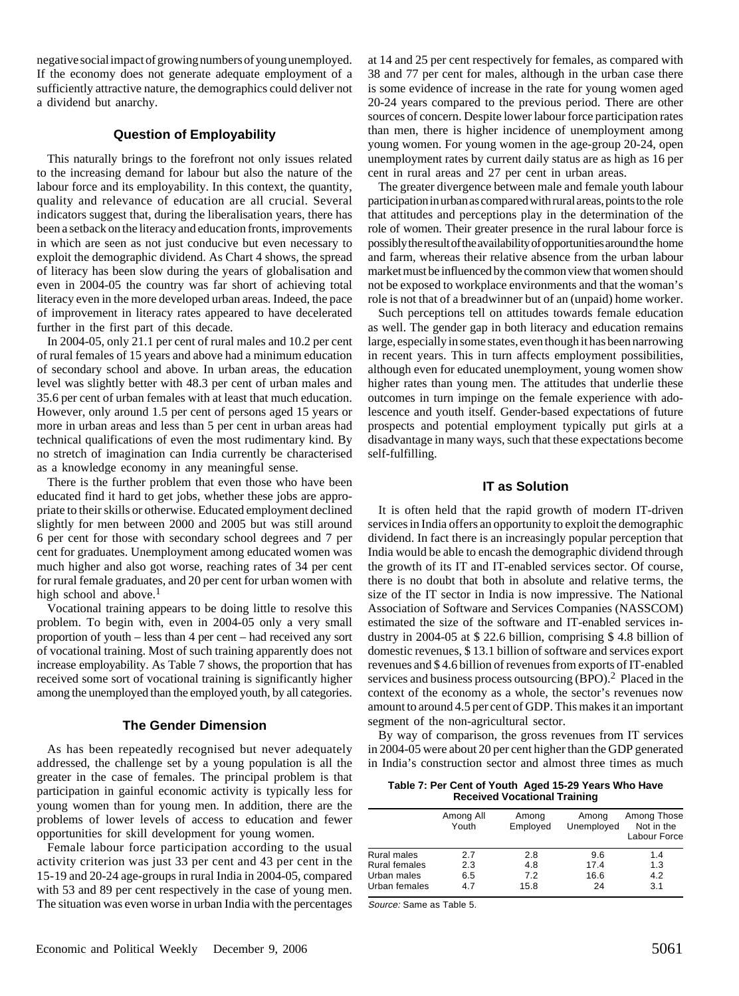negative social impact of growing numbers of young unemployed. If the economy does not generate adequate employment of a sufficiently attractive nature, the demographics could deliver not a dividend but anarchy.

## **Question of Employability**

This naturally brings to the forefront not only issues related to the increasing demand for labour but also the nature of the labour force and its employability. In this context, the quantity, quality and relevance of education are all crucial. Several indicators suggest that, during the liberalisation years, there has been a setback on the literacy and education fronts, improvements in which are seen as not just conducive but even necessary to exploit the demographic dividend. As Chart 4 shows, the spread of literacy has been slow during the years of globalisation and even in 2004-05 the country was far short of achieving total literacy even in the more developed urban areas. Indeed, the pace of improvement in literacy rates appeared to have decelerated further in the first part of this decade.

In 2004-05, only 21.1 per cent of rural males and 10.2 per cent of rural females of 15 years and above had a minimum education of secondary school and above. In urban areas, the education level was slightly better with 48.3 per cent of urban males and 35.6 per cent of urban females with at least that much education. However, only around 1.5 per cent of persons aged 15 years or more in urban areas and less than 5 per cent in urban areas had technical qualifications of even the most rudimentary kind. By no stretch of imagination can India currently be characterised as a knowledge economy in any meaningful sense.

There is the further problem that even those who have been educated find it hard to get jobs, whether these jobs are appropriate to their skills or otherwise. Educated employment declined slightly for men between 2000 and 2005 but was still around 6 per cent for those with secondary school degrees and 7 per cent for graduates. Unemployment among educated women was much higher and also got worse, reaching rates of 34 per cent for rural female graduates, and 20 per cent for urban women with high school and above. $<sup>1</sup>$ </sup>

Vocational training appears to be doing little to resolve this problem. To begin with, even in 2004-05 only a very small proportion of youth – less than 4 per cent – had received any sort of vocational training. Most of such training apparently does not increase employability. As Table 7 shows, the proportion that has received some sort of vocational training is significantly higher among the unemployed than the employed youth, by all categories.

# **The Gender Dimension**

As has been repeatedly recognised but never adequately addressed, the challenge set by a young population is all the greater in the case of females. The principal problem is that participation in gainful economic activity is typically less for young women than for young men. In addition, there are the problems of lower levels of access to education and fewer opportunities for skill development for young women.

Female labour force participation according to the usual activity criterion was just 33 per cent and 43 per cent in the 15-19 and 20-24 age-groups in rural India in 2004-05, compared with 53 and 89 per cent respectively in the case of young men. The situation was even worse in urban India with the percentages at 14 and 25 per cent respectively for females, as compared with 38 and 77 per cent for males, although in the urban case there is some evidence of increase in the rate for young women aged 20-24 years compared to the previous period. There are other sources of concern. Despite lower labour force participation rates than men, there is higher incidence of unemployment among young women. For young women in the age-group 20-24, open unemployment rates by current daily status are as high as 16 per cent in rural areas and 27 per cent in urban areas.

The greater divergence between male and female youth labour participation in urban as compared with rural areas, points to the role that attitudes and perceptions play in the determination of the role of women. Their greater presence in the rural labour force is possibly the result of the availability of opportunities around the home and farm, whereas their relative absence from the urban labour market must be influenced by the common view that women should not be exposed to workplace environments and that the woman's role is not that of a breadwinner but of an (unpaid) home worker.

Such perceptions tell on attitudes towards female education as well. The gender gap in both literacy and education remains large, especially in some states, even though it has been narrowing in recent years. This in turn affects employment possibilities, although even for educated unemployment, young women show higher rates than young men. The attitudes that underlie these outcomes in turn impinge on the female experience with adolescence and youth itself. Gender-based expectations of future prospects and potential employment typically put girls at a disadvantage in many ways, such that these expectations become self-fulfilling.

#### **IT as Solution**

It is often held that the rapid growth of modern IT-driven services in India offers an opportunity to exploit the demographic dividend. In fact there is an increasingly popular perception that India would be able to encash the demographic dividend through the growth of its IT and IT-enabled services sector. Of course, there is no doubt that both in absolute and relative terms, the size of the IT sector in India is now impressive. The National Association of Software and Services Companies (NASSCOM) estimated the size of the software and IT-enabled services industry in 2004-05 at \$ 22.6 billion, comprising \$ 4.8 billion of domestic revenues, \$ 13.1 billion of software and services export revenues and \$ 4.6 billion of revenues from exports of IT-enabled services and business process outsourcing (BPO).<sup>2</sup> Placed in the context of the economy as a whole, the sector's revenues now amount to around 4.5 per cent of GDP. This makes it an important segment of the non-agricultural sector.

By way of comparison, the gross revenues from IT services in 2004-05 were about 20 per cent higher than the GDP generated in India's construction sector and almost three times as much

**Table 7: Per Cent of Youth Aged 15-29 Years Who Have Received Vocational Training**

|                      | Among All<br>Youth | Among<br>Employed | Among<br>Unemployed | Among Those<br>Not in the<br>Labour Force |
|----------------------|--------------------|-------------------|---------------------|-------------------------------------------|
| <b>Rural males</b>   | 2.7                | 2.8               | 9.6                 | 1.4                                       |
| <b>Rural females</b> | 2.3                | 4.8               | 17.4                | 1.3                                       |
| Urban males          | 6.5                | 7.2               | 16.6                | 4.2                                       |
| Urban females        | 4.7                | 15.8              | 24                  | 3.1                                       |

Source: Same as Table 5.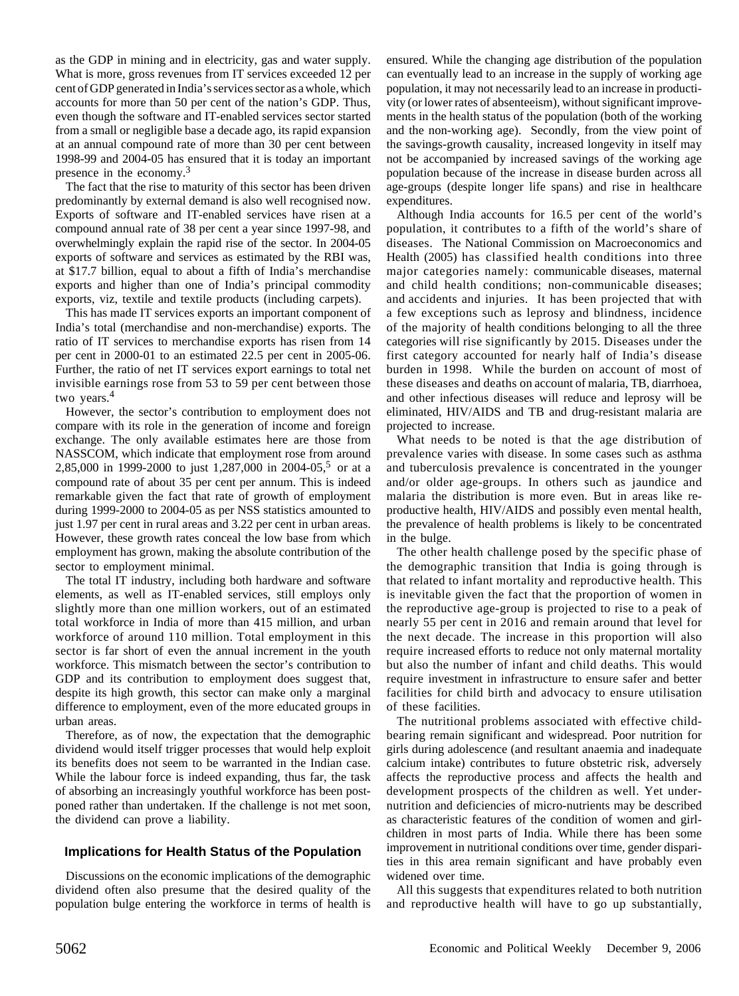as the GDP in mining and in electricity, gas and water supply. What is more, gross revenues from IT services exceeded 12 per cent of GDP generated in India's services sector as a whole, which accounts for more than 50 per cent of the nation's GDP. Thus, even though the software and IT-enabled services sector started from a small or negligible base a decade ago, its rapid expansion at an annual compound rate of more than 30 per cent between 1998-99 and 2004-05 has ensured that it is today an important presence in the economy.3

The fact that the rise to maturity of this sector has been driven predominantly by external demand is also well recognised now. Exports of software and IT-enabled services have risen at a compound annual rate of 38 per cent a year since 1997-98, and overwhelmingly explain the rapid rise of the sector. In 2004-05 exports of software and services as estimated by the RBI was, at \$17.7 billion, equal to about a fifth of India's merchandise exports and higher than one of India's principal commodity exports, viz, textile and textile products (including carpets).

This has made IT services exports an important component of India's total (merchandise and non-merchandise) exports. The ratio of IT services to merchandise exports has risen from 14 per cent in 2000-01 to an estimated 22.5 per cent in 2005-06. Further, the ratio of net IT services export earnings to total net invisible earnings rose from 53 to 59 per cent between those two years.<sup>4</sup>

However, the sector's contribution to employment does not compare with its role in the generation of income and foreign exchange. The only available estimates here are those from NASSCOM, which indicate that employment rose from around 2,85,000 in 1999-2000 to just 1,287,000 in 2004-05,<sup>5</sup> or at a compound rate of about 35 per cent per annum. This is indeed remarkable given the fact that rate of growth of employment during 1999-2000 to 2004-05 as per NSS statistics amounted to just 1.97 per cent in rural areas and 3.22 per cent in urban areas. However, these growth rates conceal the low base from which employment has grown, making the absolute contribution of the sector to employment minimal.

The total IT industry, including both hardware and software elements, as well as IT-enabled services, still employs only slightly more than one million workers, out of an estimated total workforce in India of more than 415 million, and urban workforce of around 110 million. Total employment in this sector is far short of even the annual increment in the youth workforce. This mismatch between the sector's contribution to GDP and its contribution to employment does suggest that, despite its high growth, this sector can make only a marginal difference to employment, even of the more educated groups in urban areas.

Therefore, as of now, the expectation that the demographic dividend would itself trigger processes that would help exploit its benefits does not seem to be warranted in the Indian case. While the labour force is indeed expanding, thus far, the task of absorbing an increasingly youthful workforce has been postponed rather than undertaken. If the challenge is not met soon, the dividend can prove a liability.

# **Implications for Health Status of the Population**

Discussions on the economic implications of the demographic dividend often also presume that the desired quality of the population bulge entering the workforce in terms of health is ensured. While the changing age distribution of the population can eventually lead to an increase in the supply of working age population, it may not necessarily lead to an increase in productivity (or lower rates of absenteeism), without significant improvements in the health status of the population (both of the working and the non-working age). Secondly, from the view point of the savings-growth causality, increased longevity in itself may not be accompanied by increased savings of the working age population because of the increase in disease burden across all age-groups (despite longer life spans) and rise in healthcare expenditures.

Although India accounts for 16.5 per cent of the world's population, it contributes to a fifth of the world's share of diseases. The National Commission on Macroeconomics and Health (2005) has classified health conditions into three major categories namely: communicable diseases, maternal and child health conditions; non-communicable diseases; and accidents and injuries. It has been projected that with a few exceptions such as leprosy and blindness, incidence of the majority of health conditions belonging to all the three categories will rise significantly by 2015. Diseases under the first category accounted for nearly half of India's disease burden in 1998. While the burden on account of most of these diseases and deaths on account of malaria, TB, diarrhoea, and other infectious diseases will reduce and leprosy will be eliminated, HIV/AIDS and TB and drug-resistant malaria are projected to increase.

What needs to be noted is that the age distribution of prevalence varies with disease. In some cases such as asthma and tuberculosis prevalence is concentrated in the younger and/or older age-groups. In others such as jaundice and malaria the distribution is more even. But in areas like reproductive health, HIV/AIDS and possibly even mental health, the prevalence of health problems is likely to be concentrated in the bulge.

The other health challenge posed by the specific phase of the demographic transition that India is going through is that related to infant mortality and reproductive health. This is inevitable given the fact that the proportion of women in the reproductive age-group is projected to rise to a peak of nearly 55 per cent in 2016 and remain around that level for the next decade. The increase in this proportion will also require increased efforts to reduce not only maternal mortality but also the number of infant and child deaths. This would require investment in infrastructure to ensure safer and better facilities for child birth and advocacy to ensure utilisation of these facilities.

The nutritional problems associated with effective childbearing remain significant and widespread. Poor nutrition for girls during adolescence (and resultant anaemia and inadequate calcium intake) contributes to future obstetric risk, adversely affects the reproductive process and affects the health and development prospects of the children as well. Yet undernutrition and deficiencies of micro-nutrients may be described as characteristic features of the condition of women and girlchildren in most parts of India. While there has been some improvement in nutritional conditions over time, gender disparities in this area remain significant and have probably even widened over time.

All this suggests that expenditures related to both nutrition and reproductive health will have to go up substantially,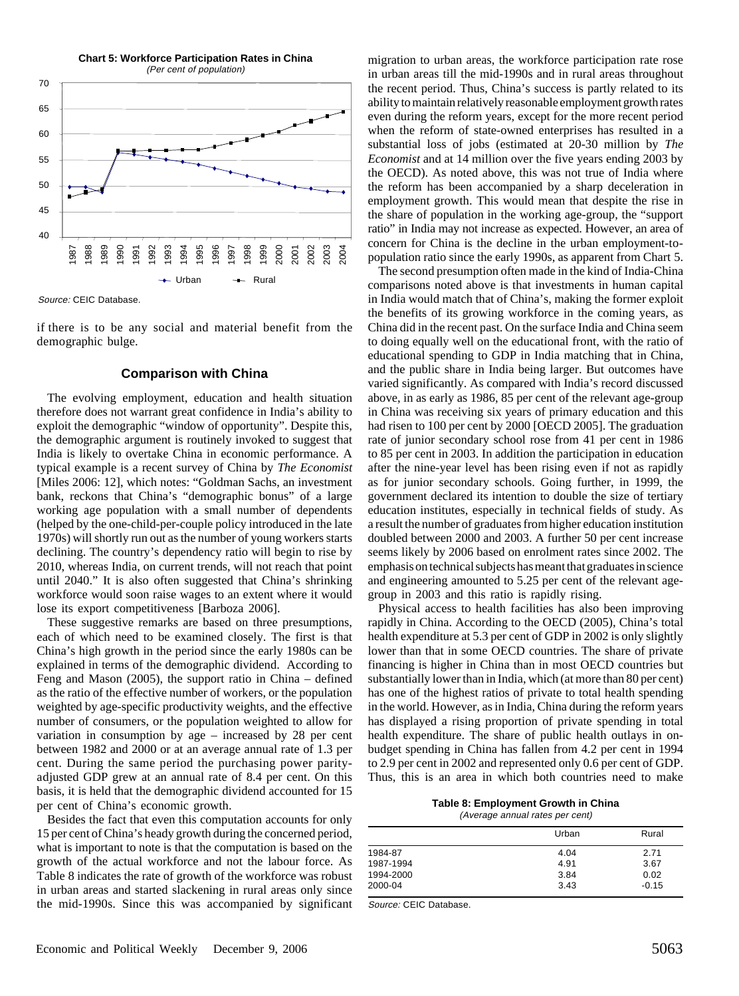

Source: CEIC Database.

if there is to be any social and material benefit from the demographic bulge.

#### **Comparison with China**

The evolving employment, education and health situation therefore does not warrant great confidence in India's ability to exploit the demographic "window of opportunity". Despite this, the demographic argument is routinely invoked to suggest that India is likely to overtake China in economic performance. A typical example is a recent survey of China by *The Economist* [Miles 2006: 12], which notes: "Goldman Sachs, an investment bank, reckons that China's "demographic bonus" of a large working age population with a small number of dependents (helped by the one-child-per-couple policy introduced in the late 1970s) will shortly run out as the number of young workers starts declining. The country's dependency ratio will begin to rise by 2010, whereas India, on current trends, will not reach that point until 2040." It is also often suggested that China's shrinking workforce would soon raise wages to an extent where it would lose its export competitiveness [Barboza 2006].

These suggestive remarks are based on three presumptions, each of which need to be examined closely. The first is that China's high growth in the period since the early 1980s can be explained in terms of the demographic dividend. According to Feng and Mason (2005), the support ratio in China – defined as the ratio of the effective number of workers, or the population weighted by age-specific productivity weights, and the effective number of consumers, or the population weighted to allow for variation in consumption by age – increased by 28 per cent between 1982 and 2000 or at an average annual rate of 1.3 per cent. During the same period the purchasing power parityadjusted GDP grew at an annual rate of 8.4 per cent. On this basis, it is held that the demographic dividend accounted for 15 per cent of China's economic growth.

Besides the fact that even this computation accounts for only 15 per cent of China's heady growth during the concerned period, what is important to note is that the computation is based on the growth of the actual workforce and not the labour force. As Table 8 indicates the rate of growth of the workforce was robust in urban areas and started slackening in rural areas only since the mid-1990s. Since this was accompanied by significant

migration to urban areas, the workforce participation rate rose in urban areas till the mid-1990s and in rural areas throughout the recent period. Thus, China's success is partly related to its ability to maintain relatively reasonable employment growth rates even during the reform years, except for the more recent period when the reform of state-owned enterprises has resulted in a substantial loss of jobs (estimated at 20-30 million by *The Economist* and at 14 million over the five years ending 2003 by the OECD). As noted above, this was not true of India where the reform has been accompanied by a sharp deceleration in employment growth. This would mean that despite the rise in the share of population in the working age-group, the "support ratio" in India may not increase as expected. However, an area of concern for China is the decline in the urban employment-topopulation ratio since the early 1990s, as apparent from Chart 5.

The second presumption often made in the kind of India-China comparisons noted above is that investments in human capital in India would match that of China's, making the former exploit the benefits of its growing workforce in the coming years, as China did in the recent past. On the surface India and China seem to doing equally well on the educational front, with the ratio of educational spending to GDP in India matching that in China, and the public share in India being larger. But outcomes have varied significantly. As compared with India's record discussed above, in as early as 1986, 85 per cent of the relevant age-group in China was receiving six years of primary education and this had risen to 100 per cent by 2000 [OECD 2005]. The graduation rate of junior secondary school rose from 41 per cent in 1986 to 85 per cent in 2003. In addition the participation in education after the nine-year level has been rising even if not as rapidly as for junior secondary schools. Going further, in 1999, the government declared its intention to double the size of tertiary education institutes, especially in technical fields of study. As a result the number of graduates from higher education institution doubled between 2000 and 2003. A further 50 per cent increase seems likely by 2006 based on enrolment rates since 2002. The emphasis on technical subjects has meant that graduates in science and engineering amounted to 5.25 per cent of the relevant agegroup in 2003 and this ratio is rapidly rising.

Physical access to health facilities has also been improving rapidly in China. According to the OECD (2005), China's total health expenditure at 5.3 per cent of GDP in 2002 is only slightly lower than that in some OECD countries. The share of private financing is higher in China than in most OECD countries but substantially lower than in India, which (at more than 80 per cent) has one of the highest ratios of private to total health spending in the world. However, as in India, China during the reform years has displayed a rising proportion of private spending in total health expenditure. The share of public health outlays in onbudget spending in China has fallen from 4.2 per cent in 1994 to 2.9 per cent in 2002 and represented only 0.6 per cent of GDP. Thus, this is an area in which both countries need to make

**Table 8: Employment Growth in China** (Average annual rates per cent)

|           | Urban | Rural   |
|-----------|-------|---------|
| 1984-87   | 4.04  | 2.71    |
| 1987-1994 | 4.91  | 3.67    |
| 1994-2000 | 3.84  | 0.02    |
| 2000-04   | 3.43  | $-0.15$ |

Source: CEIC Database.